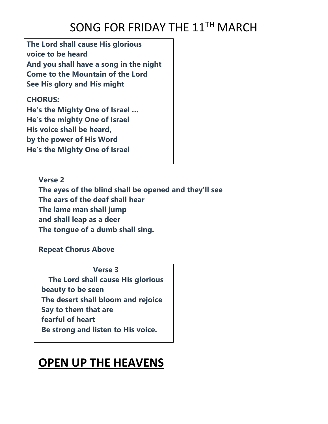## SONG FOR FRIDAY THE 11<sup>TH</sup> MARCH

**The Lord shall cause His glorious voice to be heard And you shall have a song in the night Come to the Mountain of the Lord See His glory and His might**

#### **CHORUS:**

**He's the Mighty One of Israel … He's the mighty One of Israel His voice shall be heard, by the power of His Word He's the Mighty One of Israel**

**Verse 2 The eyes of the blind shall be opened and they'll see The ears of the deaf shall hear The lame man shall jump and shall leap as a deer The tongue of a dumb shall sing.**

#### **Repeat Chorus Above**

**Verse 3**

**The Lord shall cause His glorious beauty to be seen The desert shall bloom and rejoice Say to them that are fearful of heart Be strong and listen to His voice.**

### **OPEN UP THE HEAVENS**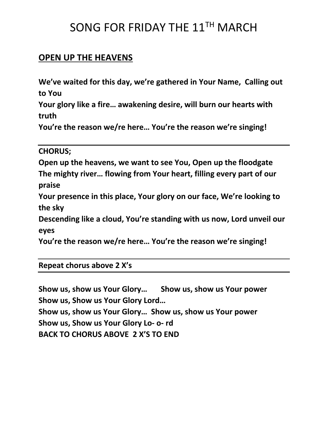## SONG FOR FRIDAY THE 11TH MARCH

#### **OPEN UP THE HEAVENS**

**We've waited for this day, we're gathered in Your Name, Calling out to You**

**Your glory like a fire… awakening desire, will burn our hearts with truth**

**You're the reason we/re here… You're the reason we're singing!**

**CHORUS;**

**Open up the heavens, we want to see You, Open up the floodgate The mighty river… flowing from Your heart, filling every part of our praise**

**Your presence in this place, Your glory on our face, We're looking to the sky**

**Descending like a cloud, You're standing with us now, Lord unveil our eyes**

**You're the reason we/re here… You're the reason we're singing!**

**Repeat chorus above 2 X's**

**Show us, show us Your Glory… Show us, show us Your power Show us, Show us Your Glory Lord… Show us, show us Your Glory… Show us, show us Your power Show us, Show us Your Glory Lo- o- rd BACK TO CHORUS ABOVE 2 X'S TO END**